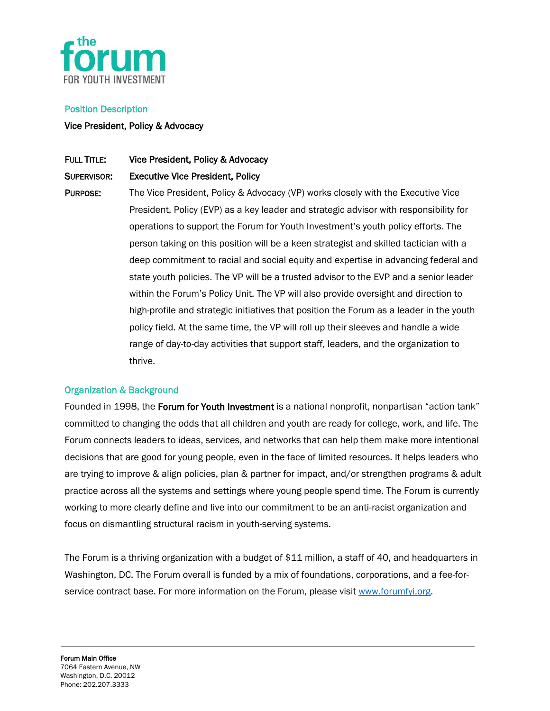

#### Position Description

### Vice President, Policy & Advocacy

## FULL TITLE: Vice President, Policy & Advocacy

### SUPERVISOR: Executive Vice President, Policy

PURPOSE: The Vice President, Policy & Advocacy (VP) works closely with the Executive Vice President, Policy (EVP) as a key leader and strategic advisor with responsibility for operations to support the Forum for Youth Investment's youth policy efforts. The person taking on this position will be a keen strategist and skilled tactician with a deep commitment to racial and social equity and expertise in advancing federal and state youth policies. The VP will be a trusted advisor to the EVP and a senior leader within the Forum's Policy Unit. The VP will also provide oversight and direction to high-profile and strategic initiatives that position the Forum as a leader in the youth policy field. At the same time, the VP will roll up their sleeves and handle a wide range of day-to-day activities that support staff, leaders, and the organization to thrive.

### Organization & Background

Founded in 1998, the Forum for Youth Investment is a national nonprofit, nonpartisan "action tank" committed to changing the odds that all children and youth are ready for college, work, and life. The Forum connects leaders to ideas, services, and networks that can help them make more intentional decisions that are good for young people, even in the face of limited resources. It helps leaders who are trying to improve & align policies, plan & partner for impact, and/or strengthen programs & adult practice across all the systems and settings where young people spend time. The Forum is currently working to more clearly define and live into our commitment to be an anti-racist organization and focus on dismantling structural racism in youth-serving systems.

The Forum is a thriving organization with a budget of \$11 million, a staff of 40, and headquarters in Washington, DC. The Forum overall is funded by a mix of foundations, corporations, and a fee-forservice contract base. For more information on the Forum, please visit www.forumfvi.org.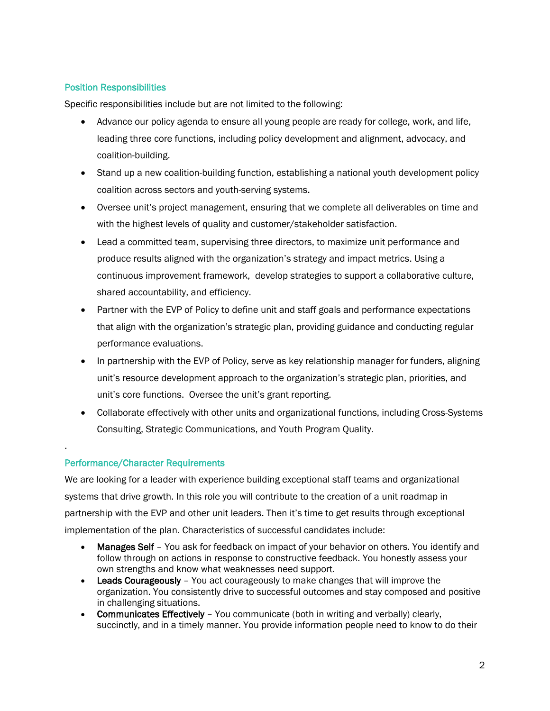# Position Responsibilities

Specific responsibilities include but are not limited to the following:

- Advance our policy agenda to ensure all young people are ready for college, work, and life, leading three core functions, including policy development and alignment, advocacy, and coalition-building.
- Stand up a new coalition-building function, establishing a national youth development policy coalition across sectors and youth-serving systems.
- Oversee unit's project management, ensuring that we complete all deliverables on time and with the highest levels of quality and customer/stakeholder satisfaction.
- Lead a committed team, supervising three directors, to maximize unit performance and produce results aligned with the organization's strategy and impact metrics. Using a continuous improvement framework, develop strategies to support a collaborative culture, shared accountability, and efficiency.
- Partner with the EVP of Policy to define unit and staff goals and performance expectations that align with the organization's strategic plan, providing guidance and conducting regular performance evaluations.
- In partnership with the EVP of Policy, serve as key relationship manager for funders, aligning unit's resource development approach to the organization's strategic plan, priorities, and unit's core functions. Oversee the unit's grant reporting.
- Collaborate effectively with other units and organizational functions, including Cross-Systems Consulting, Strategic Communications, and Youth Program Quality.

### Performance/Character Requirements

.

We are looking for a leader with experience building exceptional staff teams and organizational systems that drive growth. In this role you will contribute to the creation of a unit roadmap in partnership with the EVP and other unit leaders. Then it's time to get results through exceptional implementation of the plan. Characteristics of successful candidates include:

- **Manages Self** You ask for feedback on impact of your behavior on others. You identify and follow through on actions in response to constructive feedback. You honestly assess your own strengths and know what weaknesses need support.
- Leads Courageously You act courageously to make changes that will improve the organization. You consistently drive to successful outcomes and stay composed and positive in challenging situations.
- Communicates Effectively You communicate (both in writing and verbally) clearly, succinctly, and in a timely manner. You provide information people need to know to do their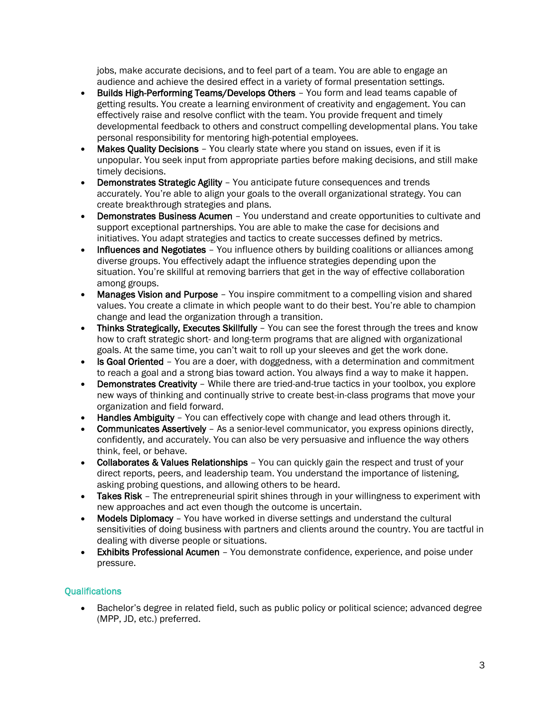jobs, make accurate decisions, and to feel part of a team. You are able to engage an audience and achieve the desired effect in a variety of formal presentation settings.

- Builds High-Performing Teams/Develops Others You form and lead teams capable of getting results. You create a learning environment of creativity and engagement. You can effectively raise and resolve conflict with the team. You provide frequent and timely developmental feedback to others and construct compelling developmental plans. You take personal responsibility for mentoring high-potential employees.
- Makes Quality Decisions You clearly state where you stand on issues, even if it is unpopular. You seek input from appropriate parties before making decisions, and still make timely decisions.
- Demonstrates Strategic Agility You anticipate future consequences and trends accurately. You're able to align your goals to the overall organizational strategy. You can create breakthrough strategies and plans.
- Demonstrates Business Acumen You understand and create opportunities to cultivate and support exceptional partnerships. You are able to make the case for decisions and initiatives. You adapt strategies and tactics to create successes defined by metrics.
- Influences and Negotiates You influence others by building coalitions or alliances among diverse groups. You effectively adapt the influence strategies depending upon the situation. You're skillful at removing barriers that get in the way of effective collaboration among groups.
- **Manages Vision and Purpose** You inspire commitment to a compelling vision and shared values. You create a climate in which people want to do their best. You're able to champion change and lead the organization through a transition.
- Thinks Strategically, Executes Skillfully You can see the forest through the trees and know how to craft strategic short- and long-term programs that are aligned with organizational goals. At the same time, you can't wait to roll up your sleeves and get the work done.
- Is Goal Oriented You are a doer, with doggedness, with a determination and commitment to reach a goal and a strong bias toward action. You always find a way to make it happen.
- Demonstrates Creativity While there are tried-and-true tactics in your toolbox, you explore new ways of thinking and continually strive to create best-in-class programs that move your organization and field forward.
- Handles Ambiguity You can effectively cope with change and lead others through it.
- Communicates Assertively As a senior-level communicator, you express opinions directly, confidently, and accurately. You can also be very persuasive and influence the way others think, feel, or behave.
- Collaborates & Values Relationships You can quickly gain the respect and trust of your direct reports, peers, and leadership team. You understand the importance of listening, asking probing questions, and allowing others to be heard.
- Takes Risk The entrepreneurial spirit shines through in your willingness to experiment with new approaches and act even though the outcome is uncertain.
- Models Diplomacy You have worked in diverse settings and understand the cultural sensitivities of doing business with partners and clients around the country. You are tactful in dealing with diverse people or situations.
- Exhibits Professional Acumen You demonstrate confidence, experience, and poise under pressure.

# **Qualifications**

• Bachelor's degree in related field, such as public policy or political science; advanced degree (MPP, JD, etc.) preferred.